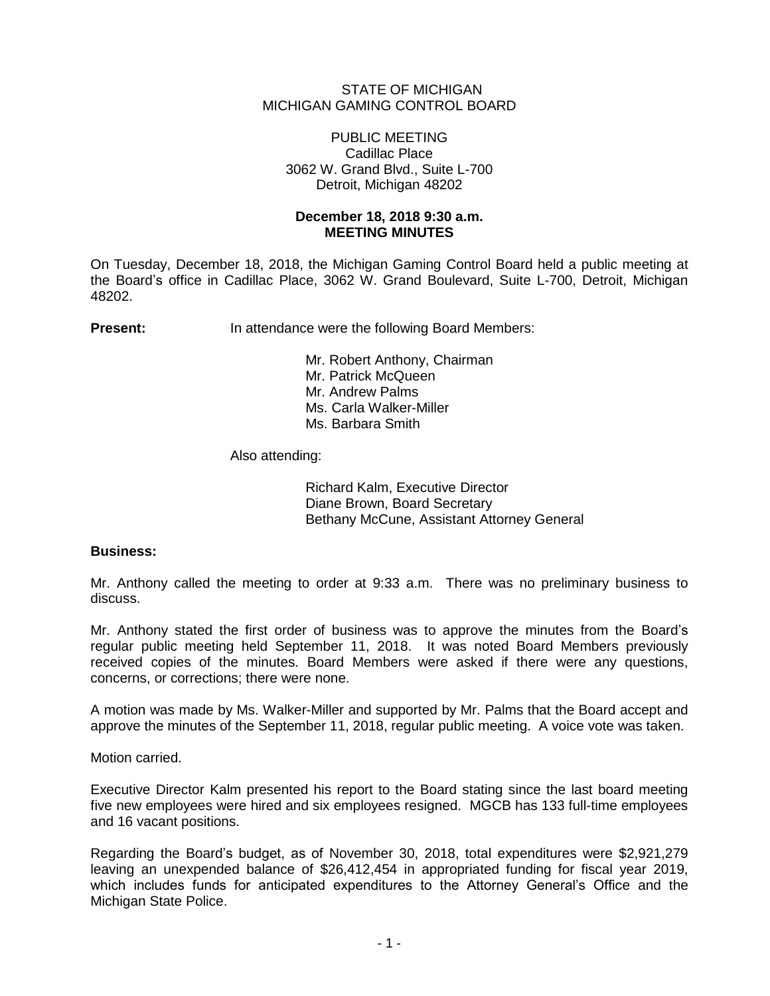### STATE OF MICHIGAN MICHIGAN GAMING CONTROL BOARD

#### PUBLIC MEETING Cadillac Place 3062 W. Grand Blvd., Suite L-700 Detroit, Michigan 48202

# **December 18, 2018 9:30 a.m. MEETING MINUTES**

On Tuesday, December 18, 2018, the Michigan Gaming Control Board held a public meeting at the Board's office in Cadillac Place, 3062 W. Grand Boulevard, Suite L-700, Detroit, Michigan 48202.

**Present:** In attendance were the following Board Members:

Mr. Robert Anthony, Chairman Mr. Patrick McQueen Mr. Andrew Palms Ms. Carla Walker-Miller Ms. Barbara Smith

Also attending:

Richard Kalm, Executive Director Diane Brown, Board Secretary Bethany McCune, Assistant Attorney General

# **Business:**

Mr. Anthony called the meeting to order at 9:33 a.m. There was no preliminary business to discuss.

Mr. Anthony stated the first order of business was to approve the minutes from the Board's regular public meeting held September 11, 2018. It was noted Board Members previously received copies of the minutes. Board Members were asked if there were any questions, concerns, or corrections; there were none.

A motion was made by Ms. Walker-Miller and supported by Mr. Palms that the Board accept and approve the minutes of the September 11, 2018, regular public meeting. A voice vote was taken.

Motion carried.

Executive Director Kalm presented his report to the Board stating since the last board meeting five new employees were hired and six employees resigned. MGCB has 133 full-time employees and 16 vacant positions.

Regarding the Board's budget, as of November 30, 2018, total expenditures were \$2,921,279 leaving an unexpended balance of \$26,412,454 in appropriated funding for fiscal year 2019, which includes funds for anticipated expenditures to the Attorney General's Office and the Michigan State Police.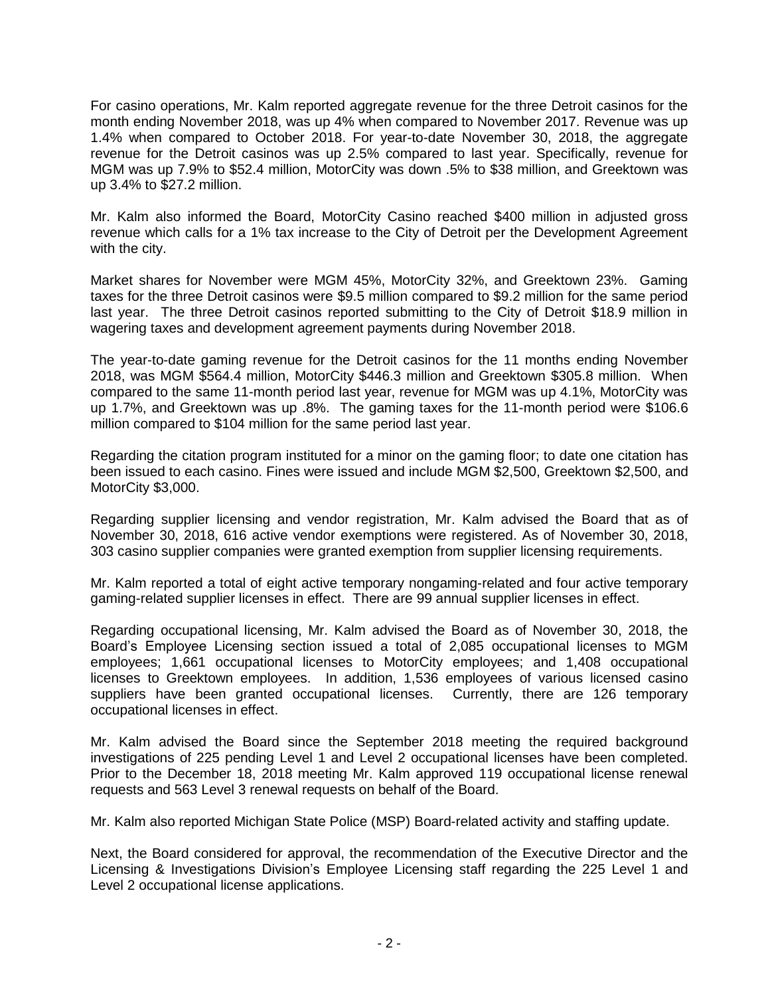For casino operations, Mr. Kalm reported aggregate revenue for the three Detroit casinos for the month ending November 2018, was up 4% when compared to November 2017. Revenue was up 1.4% when compared to October 2018. For year-to-date November 30, 2018, the aggregate revenue for the Detroit casinos was up 2.5% compared to last year. Specifically, revenue for MGM was up 7.9% to \$52.4 million, MotorCity was down .5% to \$38 million, and Greektown was up 3.4% to \$27.2 million.

Mr. Kalm also informed the Board, MotorCity Casino reached \$400 million in adjusted gross revenue which calls for a 1% tax increase to the City of Detroit per the Development Agreement with the city.

Market shares for November were MGM 45%, MotorCity 32%, and Greektown 23%. Gaming taxes for the three Detroit casinos were \$9.5 million compared to \$9.2 million for the same period last year. The three Detroit casinos reported submitting to the City of Detroit \$18.9 million in wagering taxes and development agreement payments during November 2018.

The year-to-date gaming revenue for the Detroit casinos for the 11 months ending November 2018, was MGM \$564.4 million, MotorCity \$446.3 million and Greektown \$305.8 million. When compared to the same 11-month period last year, revenue for MGM was up 4.1%, MotorCity was up 1.7%, and Greektown was up .8%. The gaming taxes for the 11-month period were \$106.6 million compared to \$104 million for the same period last year.

Regarding the citation program instituted for a minor on the gaming floor; to date one citation has been issued to each casino. Fines were issued and include MGM \$2,500, Greektown \$2,500, and MotorCity \$3,000.

Regarding supplier licensing and vendor registration, Mr. Kalm advised the Board that as of November 30, 2018, 616 active vendor exemptions were registered. As of November 30, 2018, 303 casino supplier companies were granted exemption from supplier licensing requirements.

Mr. Kalm reported a total of eight active temporary nongaming-related and four active temporary gaming-related supplier licenses in effect. There are 99 annual supplier licenses in effect.

Regarding occupational licensing, Mr. Kalm advised the Board as of November 30, 2018, the Board's Employee Licensing section issued a total of 2,085 occupational licenses to MGM employees; 1,661 occupational licenses to MotorCity employees; and 1,408 occupational licenses to Greektown employees. In addition, 1,536 employees of various licensed casino suppliers have been granted occupational licenses. Currently, there are 126 temporary occupational licenses in effect.

Mr. Kalm advised the Board since the September 2018 meeting the required background investigations of 225 pending Level 1 and Level 2 occupational licenses have been completed. Prior to the December 18, 2018 meeting Mr. Kalm approved 119 occupational license renewal requests and 563 Level 3 renewal requests on behalf of the Board.

Mr. Kalm also reported Michigan State Police (MSP) Board-related activity and staffing update.

Next, the Board considered for approval, the recommendation of the Executive Director and the Licensing & Investigations Division's Employee Licensing staff regarding the 225 Level 1 and Level 2 occupational license applications.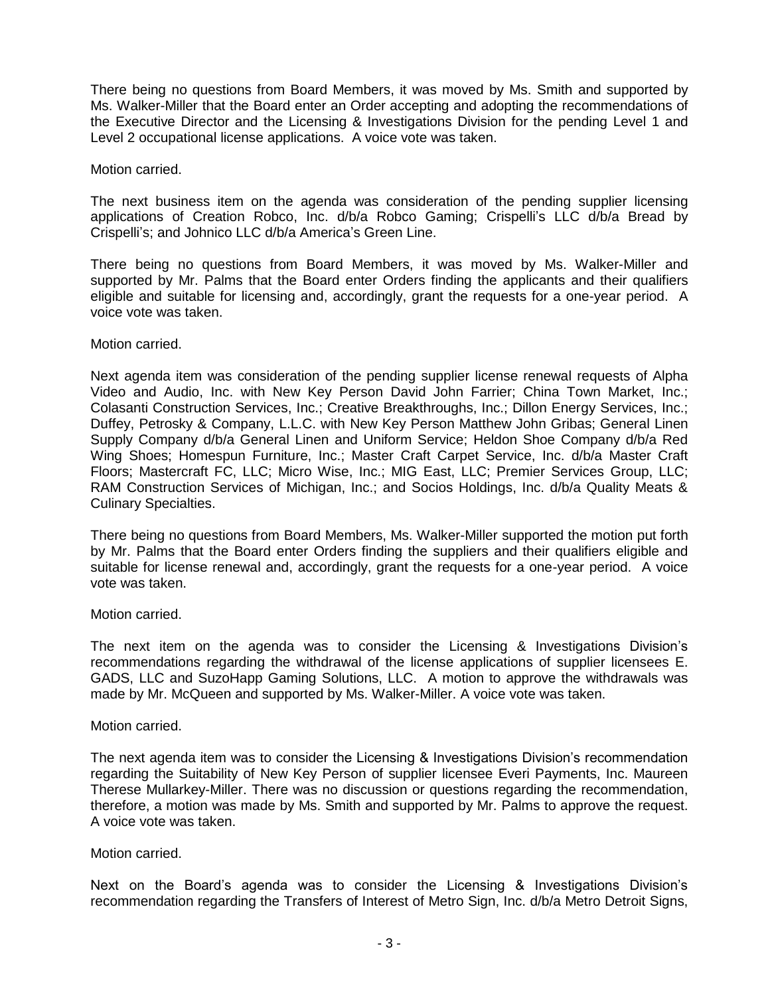There being no questions from Board Members, it was moved by Ms. Smith and supported by Ms. Walker-Miller that the Board enter an Order accepting and adopting the recommendations of the Executive Director and the Licensing & Investigations Division for the pending Level 1 and Level 2 occupational license applications. A voice vote was taken.

Motion carried.

The next business item on the agenda was consideration of the pending supplier licensing applications of Creation Robco, Inc. d/b/a Robco Gaming; Crispelli's LLC d/b/a Bread by Crispelli's; and Johnico LLC d/b/a America's Green Line.

There being no questions from Board Members, it was moved by Ms. Walker-Miller and supported by Mr. Palms that the Board enter Orders finding the applicants and their qualifiers eligible and suitable for licensing and, accordingly, grant the requests for a one-year period. A voice vote was taken.

Motion carried.

Next agenda item was consideration of the pending supplier license renewal requests of Alpha Video and Audio, Inc. with New Key Person David John Farrier; China Town Market, Inc.; Colasanti Construction Services, Inc.; Creative Breakthroughs, Inc.; Dillon Energy Services, Inc.; Duffey, Petrosky & Company, L.L.C. with New Key Person Matthew John Gribas; General Linen Supply Company d/b/a General Linen and Uniform Service; Heldon Shoe Company d/b/a Red Wing Shoes; Homespun Furniture, Inc.; Master Craft Carpet Service, Inc. d/b/a Master Craft Floors; Mastercraft FC, LLC; Micro Wise, Inc.; MIG East, LLC; Premier Services Group, LLC; RAM Construction Services of Michigan, Inc.; and Socios Holdings, Inc. d/b/a Quality Meats & Culinary Specialties.

There being no questions from Board Members, Ms. Walker-Miller supported the motion put forth by Mr. Palms that the Board enter Orders finding the suppliers and their qualifiers eligible and suitable for license renewal and, accordingly, grant the requests for a one-year period. A voice vote was taken.

Motion carried.

The next item on the agenda was to consider the Licensing & Investigations Division's recommendations regarding the withdrawal of the license applications of supplier licensees E. GADS, LLC and SuzoHapp Gaming Solutions, LLC. A motion to approve the withdrawals was made by Mr. McQueen and supported by Ms. Walker-Miller. A voice vote was taken.

Motion carried.

The next agenda item was to consider the Licensing & Investigations Division's recommendation regarding the Suitability of New Key Person of supplier licensee Everi Payments, Inc. Maureen Therese Mullarkey-Miller. There was no discussion or questions regarding the recommendation, therefore, a motion was made by Ms. Smith and supported by Mr. Palms to approve the request. A voice vote was taken.

Motion carried.

Next on the Board's agenda was to consider the Licensing & Investigations Division's recommendation regarding the Transfers of Interest of Metro Sign, Inc. d/b/a Metro Detroit Signs,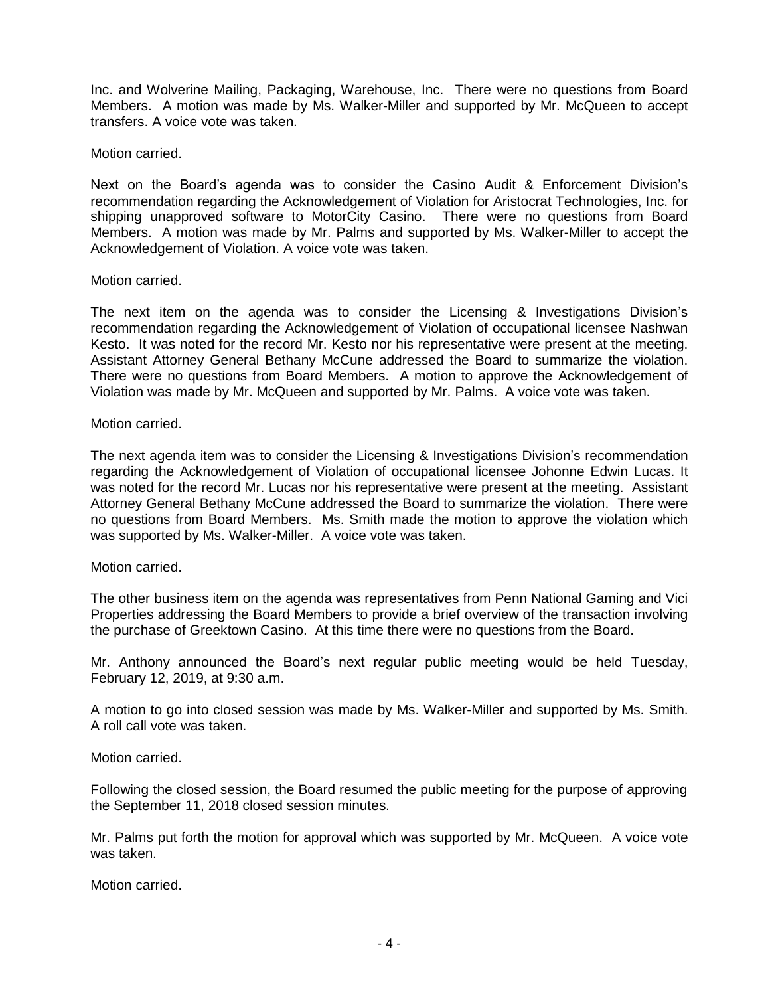Inc. and Wolverine Mailing, Packaging, Warehouse, Inc. There were no questions from Board Members. A motion was made by Ms. Walker-Miller and supported by Mr. McQueen to accept transfers. A voice vote was taken.

Motion carried.

Next on the Board's agenda was to consider the Casino Audit & Enforcement Division's recommendation regarding the Acknowledgement of Violation for Aristocrat Technologies, Inc. for shipping unapproved software to MotorCity Casino. There were no questions from Board Members. A motion was made by Mr. Palms and supported by Ms. Walker-Miller to accept the Acknowledgement of Violation. A voice vote was taken.

### Motion carried.

The next item on the agenda was to consider the Licensing & Investigations Division's recommendation regarding the Acknowledgement of Violation of occupational licensee Nashwan Kesto. It was noted for the record Mr. Kesto nor his representative were present at the meeting. Assistant Attorney General Bethany McCune addressed the Board to summarize the violation. There were no questions from Board Members. A motion to approve the Acknowledgement of Violation was made by Mr. McQueen and supported by Mr. Palms. A voice vote was taken.

### Motion carried.

The next agenda item was to consider the Licensing & Investigations Division's recommendation regarding the Acknowledgement of Violation of occupational licensee Johonne Edwin Lucas. It was noted for the record Mr. Lucas nor his representative were present at the meeting. Assistant Attorney General Bethany McCune addressed the Board to summarize the violation. There were no questions from Board Members. Ms. Smith made the motion to approve the violation which was supported by Ms. Walker-Miller. A voice vote was taken.

# Motion carried.

The other business item on the agenda was representatives from Penn National Gaming and Vici Properties addressing the Board Members to provide a brief overview of the transaction involving the purchase of Greektown Casino. At this time there were no questions from the Board.

Mr. Anthony announced the Board's next regular public meeting would be held Tuesday, February 12, 2019, at 9:30 a.m.

A motion to go into closed session was made by Ms. Walker-Miller and supported by Ms. Smith. A roll call vote was taken.

Motion carried.

Following the closed session, the Board resumed the public meeting for the purpose of approving the September 11, 2018 closed session minutes.

Mr. Palms put forth the motion for approval which was supported by Mr. McQueen. A voice vote was taken.

Motion carried.